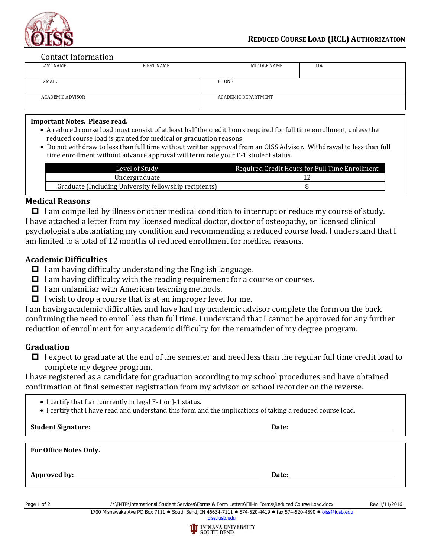

#### Contact Information

|                  | <b>LAST NAME</b> | FIRST NAME          | MIDDLE NAME | ID# |
|------------------|------------------|---------------------|-------------|-----|
|                  | E-MAIL           |                     | PHONE       |     |
| ACADEMIC ADVISOR |                  | ACADEMIC DEPARTMENT |             |     |

### **Important Notes. Please read.**

- A reduced course load must consist of at least half the credit hours required for full time enrollment, unless the reduced course load is granted for medical or graduation reasons.
- Do not withdraw to less than full time without written approval from an OISS Advisor. Withdrawal to less than full time enrollment without advance approval will terminate your F-1 student status.

| Level of Study                                        | Required Credit Hours for Full Time Enrollment |
|-------------------------------------------------------|------------------------------------------------|
| Undergraduate                                         |                                                |
| Graduate (Including University fellowship recipients) |                                                |

### **Medical Reasons**

 $\Box$  I am compelled by illness or other medical condition to interrupt or reduce my course of study. I have attached a letter from my licensed medical doctor, doctor of osteopathy, or licensed clinical psychologist substantiating my condition and recommending a reduced course load. I understand that I am limited to a total of 12 months of reduced enrollment for medical reasons.

## **Academic Difficulties**

- $\Box$  I am having difficulty understanding the English language.
- $\Box$  I am having difficulty with the reading requirement for a course or courses.
- $\Box$  I am unfamiliar with American teaching methods.
- $\Box$  I wish to drop a course that is at an improper level for me.

I am having academic difficulties and have had my academic advisor complete the form on the back confirming the need to enroll less than full time. I understand that I cannot be approved for any further reduction of enrollment for any academic difficulty for the remainder of my degree program.

# **Graduation**

 $\Box$  I expect to graduate at the end of the semester and need less than the regular full time credit load to complete my degree program.

I have registered as a candidate for graduation according to my school procedures and have obtained confirmation of final semester registration from my advisor or school recorder on the reverse.

- I certify that I am currently in legal F-1 or J-1 status.
- I certify that I have read and understand this form and the implications of taking a reduced course load.

|                               | Date: the contract of the contract of the contract of the contract of the contract of the contract of the contract of the contract of the contract of the contract of the contract of the contract of the contract of the cont |
|-------------------------------|--------------------------------------------------------------------------------------------------------------------------------------------------------------------------------------------------------------------------------|
| <b>For Office Notes Only.</b> |                                                                                                                                                                                                                                |
|                               | Date: the contract of the contract of the contract of the contract of the contract of the contract of the contract of the contract of the contract of the contract of the contract of the contract of the contract of the cont |